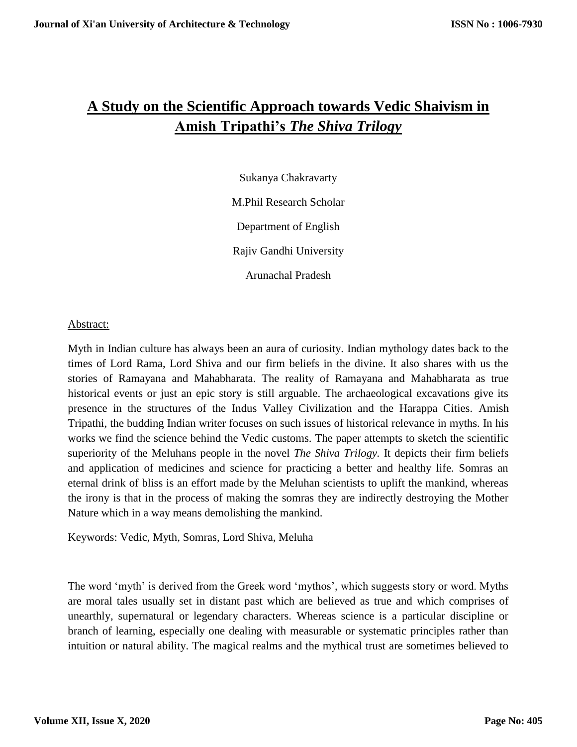## **A Study on the Scientific Approach towards Vedic Shaivism in Amish Tripathi's** *The Shiva Trilogy*

Sukanya Chakravarty M.Phil Research Scholar Department of English Rajiv Gandhi University Arunachal Pradesh

Abstract:

Myth in Indian culture has always been an aura of curiosity. Indian mythology dates back to the times of Lord Rama, Lord Shiva and our firm beliefs in the divine. It also shares with us the stories of Ramayana and Mahabharata. The reality of Ramayana and Mahabharata as true historical events or just an epic story is still arguable. The archaeological excavations give its presence in the structures of the Indus Valley Civilization and the Harappa Cities. Amish Tripathi, the budding Indian writer focuses on such issues of historical relevance in myths. In his works we find the science behind the Vedic customs. The paper attempts to sketch the scientific superiority of the Meluhans people in the novel *The Shiva Trilogy.* It depicts their firm beliefs and application of medicines and science for practicing a better and healthy life. Somras an eternal drink of bliss is an effort made by the Meluhan scientists to uplift the mankind, whereas the irony is that in the process of making the somras they are indirectly destroying the Mother Nature which in a way means demolishing the mankind.

Keywords: Vedic, Myth, Somras, Lord Shiva, Meluha

The word 'myth' is derived from the Greek word 'mythos', which suggests story or word. Myths are moral tales usually set in distant past which are believed as true and which comprises of unearthly, supernatural or legendary characters. Whereas science is a particular discipline or branch of learning, especially one dealing with measurable or systematic principles rather than intuition or natural ability. The magical realms and the mythical trust are sometimes believed to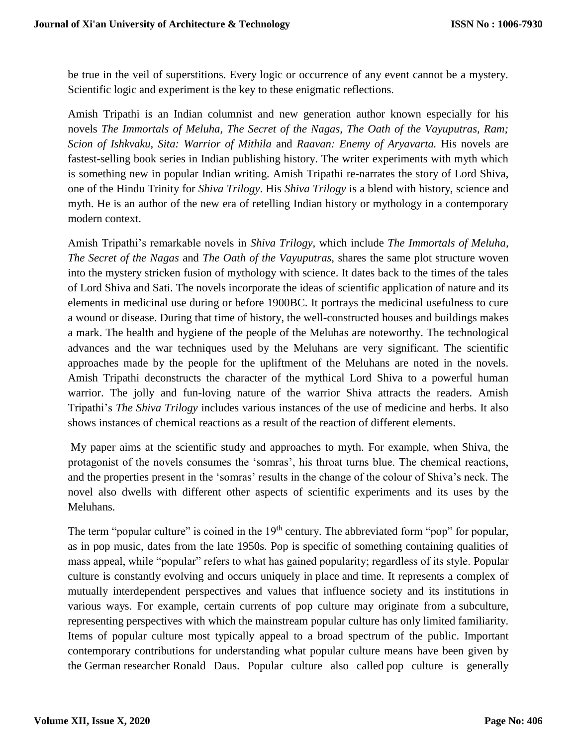be true in the veil of superstitions. Every logic or occurrence of any event cannot be a mystery. Scientific logic and experiment is the key to these enigmatic reflections.

Amish Tripathi is an Indian columnist and new generation author known especially for his novels *The Immortals of Meluha, The Secret of the Nagas, The Oath of the Vayuputras, Ram; Scion of Ishkvaku, Sita: Warrior of Mithila* and *Raavan: Enemy of Aryavarta.* His novels are fastest-selling book series in Indian publishing history. The writer experiments with myth which is something new in popular Indian writing. Amish Tripathi re-narrates the story of Lord Shiva, one of the Hindu Trinity for *Shiva Trilogy*. His *Shiva Trilogy* is a blend with history, science and myth. He is an author of the new era of retelling Indian history or mythology in a contemporary modern context.

Amish Tripathi's remarkable novels in *Shiva Trilogy,* which include *The Immortals of Meluha, The Secret of the Nagas* and *The Oath of the Vayuputras,* shares the same plot structure woven into the mystery stricken fusion of mythology with science. It dates back to the times of the tales of Lord Shiva and Sati. The novels incorporate the ideas of scientific application of nature and its elements in medicinal use during or before 1900BC. It portrays the medicinal usefulness to cure a wound or disease. During that time of history, the well-constructed houses and buildings makes a mark. The health and hygiene of the people of the Meluhas are noteworthy. The technological advances and the war techniques used by the Meluhans are very significant. The scientific approaches made by the people for the upliftment of the Meluhans are noted in the novels. Amish Tripathi deconstructs the character of the mythical Lord Shiva to a powerful human warrior. The jolly and fun-loving nature of the warrior Shiva attracts the readers. Amish Tripathi's *The Shiva Trilogy* includes various instances of the use of medicine and herbs. It also shows instances of chemical reactions as a result of the reaction of different elements.

My paper aims at the scientific study and approaches to myth. For example, when Shiva, the protagonist of the novels consumes the 'somras', his throat turns blue. The chemical reactions, and the properties present in the 'somras' results in the change of the colour of Shiva's neck. The novel also dwells with different other aspects of scientific experiments and its uses by the Meluhans.

The term "popular culture" is coined in the  $19<sup>th</sup>$  century. The abbreviated form "pop" for popular, as in pop music, dates from the late 1950s. Pop is specific of something containing qualities of mass appeal, while "popular" refers to what has gained popularity; regardless of its style. Popular culture is constantly evolving and occurs uniquely in [place](https://en.wikipedia.org/wiki/Cultural_heritage_tourism) and [time.](https://en.wikipedia.org/wiki/Contemporary_history) It represents a complex of mutually interdependent perspectives and values that influence society and its institutions in various ways. For example, certain currents of pop culture may originate from a [subculture,](https://en.wikipedia.org/wiki/Subculture) representing perspectives with which the [mainstream](https://en.wikipedia.org/wiki/Mainstream) popular culture has only limited familiarity. Items of popular culture most typically appeal to a broad spectrum of the public. Important contemporary contributions for understanding what popular culture means have been given by the [German](https://en.wikipedia.org/wiki/Germany) researcher [Ronald Daus.](https://en.wikipedia.org/wiki/Ronald_Daus) Popular culture also called pop culture is generally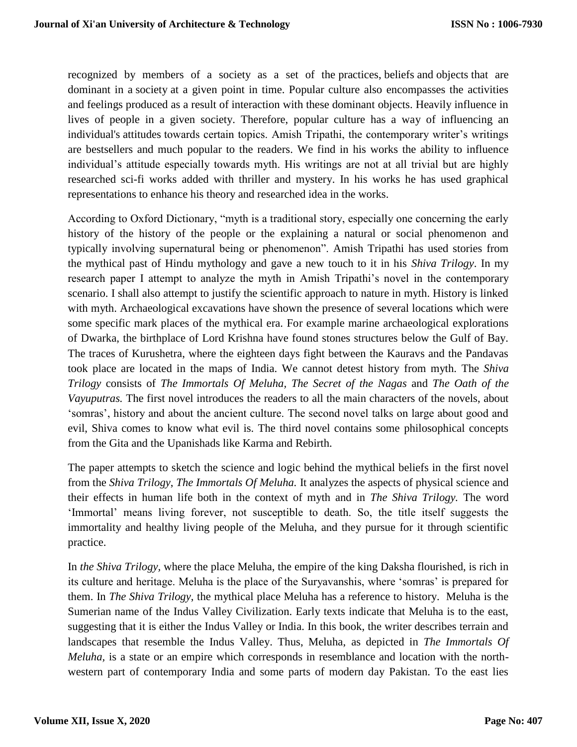recognized by members of a society as a set of the [practices,](https://en.wikipedia.org/wiki/Cultural_practice) [beliefs](https://en.wikipedia.org/wiki/Opinion) and [objects](https://en.wikipedia.org/wiki/Cultural_objects) that are dominant in a [society](https://en.wikipedia.org/wiki/Society) at a given point in time. Popular culture also encompasses the activities and feelings produced as a result of interaction with these dominant objects. Heavily influence in lives of people in a given society. Therefore, popular culture has a way of influencing an individual's [attitudes](https://en.wikipedia.org/wiki/Attitude_(psychology)) towards certain topics. Amish Tripathi, the contemporary writer's writings are bestsellers and much popular to the readers. We find in his works the ability to influence individual's attitude especially towards myth. His writings are not at all trivial but are highly researched sci-fi works added with thriller and mystery. In his works he has used graphical representations to enhance his theory and researched idea in the works.

According to Oxford Dictionary, "myth is a traditional story, especially one concerning the early history of the history of the people or the explaining a natural or social phenomenon and typically involving supernatural being or phenomenon". Amish Tripathi has used stories from the mythical past of Hindu mythology and gave a new touch to it in his *Shiva Trilogy*. In my research paper I attempt to analyze the myth in Amish Tripathi's novel in the contemporary scenario. I shall also attempt to justify the scientific approach to nature in myth. History is linked with myth. Archaeological excavations have shown the presence of several locations which were some specific mark places of the mythical era. For example marine archaeological explorations of Dwarka, the birthplace of Lord Krishna have found stones structures below the Gulf of Bay. The traces of Kurushetra, where the eighteen days fight between the Kauravs and the Pandavas took place are located in the maps of India. We cannot detest history from myth. The *Shiva Trilogy* consists of *The Immortals Of Meluha, The Secret of the Nagas* and *The Oath of the Vayuputras.* The first novel introduces the readers to all the main characters of the novels, about 'somras', history and about the ancient culture. The second novel talks on large about good and evil, Shiva comes to know what evil is. The third novel contains some philosophical concepts from the Gita and the Upanishads like Karma and Rebirth.

The paper attempts to sketch the science and logic behind the mythical beliefs in the first novel from the *Shiva Trilogy*, *The Immortals Of Meluha.* It analyzes the aspects of physical science and their effects in human life both in the context of myth and in *The Shiva Trilogy.* The word 'Immortal' means living forever, not susceptible to death. So, the title itself suggests the immortality and healthy living people of the Meluha, and they pursue for it through scientific practice.

In *the Shiva Trilogy,* where the place Meluha, the empire of the king Daksha flourished, is rich in its culture and heritage. Meluha is the place of the Suryavanshis, where 'somras' is prepared for them. In *The Shiva Trilogy*, the mythical place Meluha has a reference to history. Meluha is the Sumerian name of the Indus Valley Civilization. Early texts indicate that Meluha is to the east, suggesting that it is either the Indus Valley or India. In this book, the writer describes terrain and landscapes that resemble the Indus Valley. Thus, Meluha, as depicted in *The Immortals Of Meluha*, is a state or an empire which corresponds in resemblance and location with the northwestern part of contemporary India and some parts of modern day Pakistan. To the east lies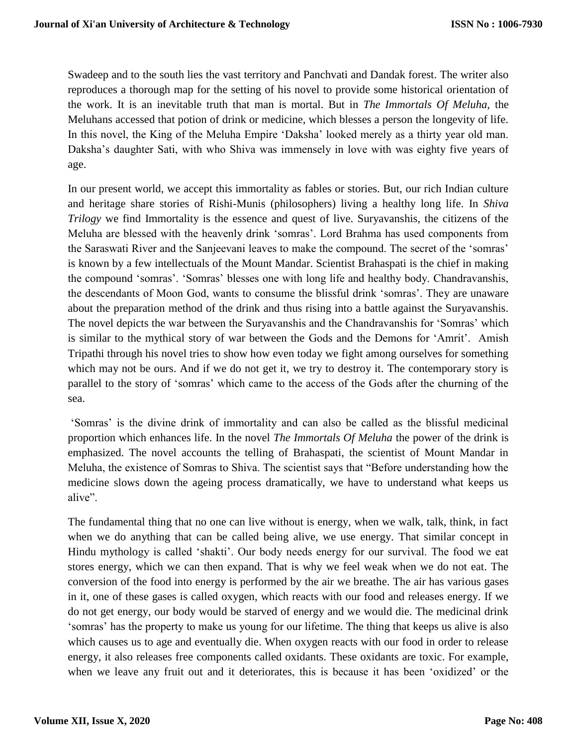Swadeep and to the south lies the vast territory and Panchvati and Dandak forest. The writer also reproduces a thorough map for the setting of his novel to provide some historical orientation of the work. It is an inevitable truth that man is mortal. But in *The Immortals Of Meluha,* the Meluhans accessed that potion of drink or medicine, which blesses a person the longevity of life. In this novel, the King of the Meluha Empire 'Daksha' looked merely as a thirty year old man. Daksha's daughter Sati, with who Shiva was immensely in love with was eighty five years of age.

In our present world, we accept this immortality as fables or stories. But, our rich Indian culture and heritage share stories of Rishi-Munis (philosophers) living a healthy long life. In *Shiva Trilogy* we find Immortality is the essence and quest of live. Suryavanshis, the citizens of the Meluha are blessed with the heavenly drink 'somras'. Lord Brahma has used components from the Saraswati River and the Sanjeevani leaves to make the compound. The secret of the 'somras' is known by a few intellectuals of the Mount Mandar. Scientist Brahaspati is the chief in making the compound 'somras'. 'Somras' blesses one with long life and healthy body. Chandravanshis, the descendants of Moon God, wants to consume the blissful drink 'somras'. They are unaware about the preparation method of the drink and thus rising into a battle against the Suryavanshis. The novel depicts the war between the Suryavanshis and the Chandravanshis for 'Somras' which is similar to the mythical story of war between the Gods and the Demons for 'Amrit'. Amish Tripathi through his novel tries to show how even today we fight among ourselves for something which may not be ours. And if we do not get it, we try to destroy it. The contemporary story is parallel to the story of 'somras' which came to the access of the Gods after the churning of the sea.

'Somras' is the divine drink of immortality and can also be called as the blissful medicinal proportion which enhances life. In the novel *The Immortals Of Meluha* the power of the drink is emphasized. The novel accounts the telling of Brahaspati, the scientist of Mount Mandar in Meluha, the existence of Somras to Shiva. The scientist says that "Before understanding how the medicine slows down the ageing process dramatically, we have to understand what keeps us alive".

The fundamental thing that no one can live without is energy, when we walk, talk, think, in fact when we do anything that can be called being alive, we use energy. That similar concept in Hindu mythology is called 'shakti'. Our body needs energy for our survival. The food we eat stores energy, which we can then expand. That is why we feel weak when we do not eat. The conversion of the food into energy is performed by the air we breathe. The air has various gases in it, one of these gases is called oxygen, which reacts with our food and releases energy. If we do not get energy, our body would be starved of energy and we would die. The medicinal drink 'somras' has the property to make us young for our lifetime. The thing that keeps us alive is also which causes us to age and eventually die. When oxygen reacts with our food in order to release energy, it also releases free components called oxidants. These oxidants are toxic. For example, when we leave any fruit out and it deteriorates, this is because it has been 'oxidized' or the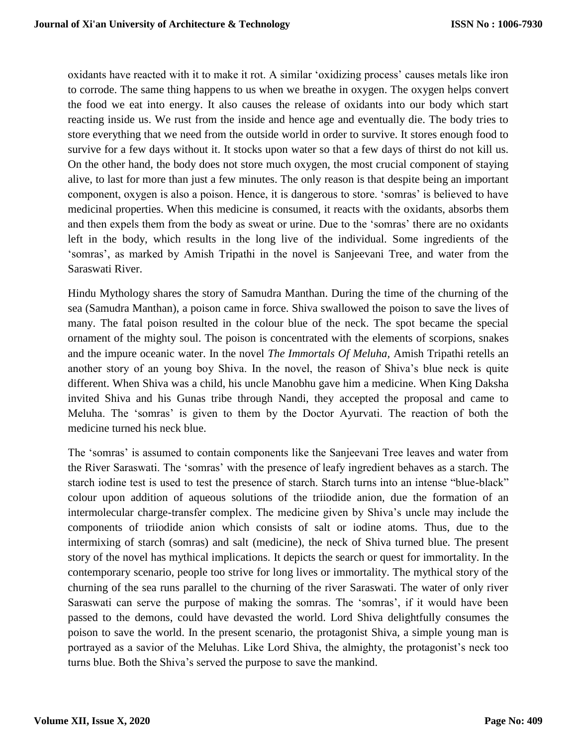oxidants have reacted with it to make it rot. A similar 'oxidizing process' causes metals like iron to corrode. The same thing happens to us when we breathe in oxygen. The oxygen helps convert the food we eat into energy. It also causes the release of oxidants into our body which start reacting inside us. We rust from the inside and hence age and eventually die. The body tries to store everything that we need from the outside world in order to survive. It stores enough food to survive for a few days without it. It stocks upon water so that a few days of thirst do not kill us. On the other hand, the body does not store much oxygen, the most crucial component of staying alive, to last for more than just a few minutes. The only reason is that despite being an important component, oxygen is also a poison. Hence, it is dangerous to store. 'somras' is believed to have medicinal properties. When this medicine is consumed, it reacts with the oxidants, absorbs them and then expels them from the body as sweat or urine. Due to the 'somras' there are no oxidants left in the body, which results in the long live of the individual. Some ingredients of the 'somras', as marked by Amish Tripathi in the novel is Sanjeevani Tree, and water from the Saraswati River.

Hindu Mythology shares the story of Samudra Manthan. During the time of the churning of the sea (Samudra Manthan), a poison came in force. Shiva swallowed the poison to save the lives of many. The fatal poison resulted in the colour blue of the neck. The spot became the special ornament of the mighty soul. The poison is concentrated with the elements of scorpions, snakes and the impure oceanic water. In the novel *The Immortals Of Meluha,* Amish Tripathi retells an another story of an young boy Shiva. In the novel, the reason of Shiva's blue neck is quite different. When Shiva was a child, his uncle Manobhu gave him a medicine. When King Daksha invited Shiva and his Gunas tribe through Nandi, they accepted the proposal and came to Meluha. The 'somras' is given to them by the Doctor Ayurvati. The reaction of both the medicine turned his neck blue.

The 'somras' is assumed to contain components like the Sanjeevani Tree leaves and water from the River Saraswati. The 'somras' with the presence of leafy ingredient behaves as a starch. The starch iodine test is used to test the presence of starch. Starch turns into an intense "blue-black" colour upon addition of aqueous solutions of the triiodide anion, due the formation of an intermolecular charge-transfer complex. The medicine given by Shiva's uncle may include the components of triiodide anion which consists of salt or iodine atoms. Thus, due to the intermixing of starch (somras) and salt (medicine), the neck of Shiva turned blue. The present story of the novel has mythical implications. It depicts the search or quest for immortality. In the contemporary scenario, people too strive for long lives or immortality. The mythical story of the churning of the sea runs parallel to the churning of the river Saraswati. The water of only river Saraswati can serve the purpose of making the somras. The 'somras', if it would have been passed to the demons, could have devasted the world. Lord Shiva delightfully consumes the poison to save the world. In the present scenario, the protagonist Shiva, a simple young man is portrayed as a savior of the Meluhas. Like Lord Shiva, the almighty, the protagonist's neck too turns blue. Both the Shiva's served the purpose to save the mankind.